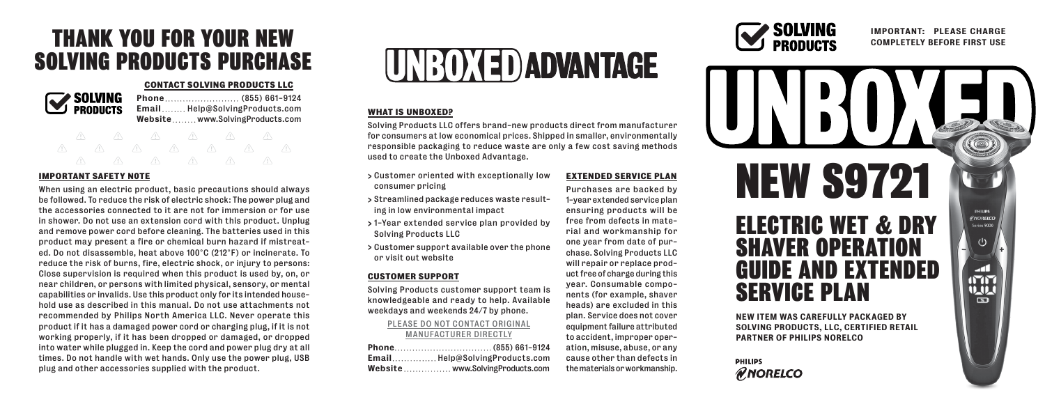### THANK YOU FOR YOUR NEW SOLVING PRODUCTS PURCHASE

### **CONTACT SOLVING PRODUCTS LLC**



Phone ... ... ... ... ... ... ... . (855) 661-9124 Email........ Help@SolvingProducts.com Website........www.SolvingProducts.com

### **IMPORTANT SAFETY N0TE**

When using an electric product, basic precautions should always be followed. To reduce the risk of electric shock: The power plug and the accessories connected to it are not for immersion or for use in shower. Do not use an extension cord with this product. Unplug and remove power cord before cleaning. The batteries used in this product may present a fire or chemical burn hazard if mistreated. Do not disassemble, heat above 100°C (212°F) or incinerate. To reduce the risk of burns, fire, electric shock, or injury to persons: Close supervision is required when this product is used by, on, or near children, or persons with limited physical, sensory, or mental capabilities or invalids. Use this product only for its intended household use as described in this manual. Do not use attachments not recommended by Philips North America LLC. Never operate this product if it has a damaged power cord or charging plug, if it is not working properly, if it has been dropped or damaged, or dropped into water while plugged in. Keep the cord and power plug dry at all times. Do not handle with wet hands. Only use the power plug, USB plug and other accessories supplied with the product.



### **WHAT IS UNBOXED?**

Solving Products LLC offers brand-new products direct from manufacturer for consumers at low economical prices. Shipped in smaller, environmentally responsible packaging to reduce waste are only a few cost saving methods used to create the Unboxed Advantage.

- > Customer oriented with exceptionally low consumer pricing
- > Streamlined package reduces waste resulting in low environmental impact
- > 1-Year extended service plan provided by Solving Products LLC
- > Customer support available over the phone or visit out website

### **CUSTOMER SUPPORT**

Solving Products customer support team is knowledgeable and ready to help. Available weekdays and weekends 24/7 by phone.

### PLEASE DO NOT CONTACT ORIGINAL MANUFACTURER DIRECTLY

| EmailHelp@SolvingProducts.com   |
|---------------------------------|
| Website www.SolvingProducts.com |

**EXTENDED SERVICE PLAN** Purchases are backed by 1-year extended service plan ensuring products will be free from defects in material and workmanship for one year from date of purchase. Solving Products LLC will repair or replace product free of charge during this year. Consumable components (for example, shaver heads) are excluded in this plan. Service does not cover equipment failure attributed to accident, improper operation, misuse, abuse, or any cause other than defects in the materials or workmanship.



### IMPORTANT: PLEASE CHARGE COMPLETELY BEFORE FIRST USE



**PHILIPS RNORELCO** 

PARTNER OF PHILIPS NORELCO